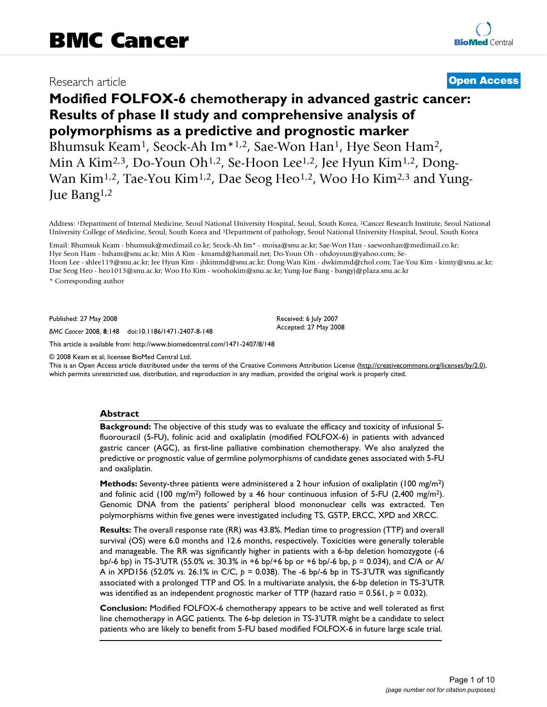# Research article **[Open Access](http://www.biomedcentral.com/info/about/charter/)**

# **Modified FOLFOX-6 chemotherapy in advanced gastric cancer: Results of phase II study and comprehensive analysis of polymorphisms as a predictive and prognostic marker**

Bhumsuk Keam<sup>1</sup>, Seock-Ah Im<sup>\*1,2</sup>, Sae-Won Han<sup>1</sup>, Hye Seon Ham<sup>2</sup>, Min A Kim<sup>2,3</sup>, Do-Youn Oh<sup>1,2</sup>, Se-Hoon Lee<sup>1,2</sup>, Jee Hyun Kim<sup>1,2</sup>, Dong-Wan Kim<sup>1,2</sup>, Tae-You Kim<sup>1,2</sup>, Dae Seog Heo<sup>1,2</sup>, Woo Ho Kim<sup>2,3</sup> and Yung-Jue Bang1,2

Address: 1Department of Internal Medicine, Seoul National University Hospital, Seoul, South Korea, 2Cancer Research Institute, Seoul National University College of Medicine, Seoul, South Korea and 3Department of pathology, Seoul National University Hospital, Seoul, South Korea

Email: Bhumsuk Keam - bhumsuk@medimail.co.kr; Seock-Ah Im\* - moisa@snu.ac.kr; Sae-Won Han - saewonhan@medimail.co.kr; Hye Seon Ham - hsham@snu.ac.kr; Min A Kim - kmamd@hanmail.net; Do-Youn Oh - ohdoyoun@yahoo.com; Se-Hoon Lee - shlee119@snu.ac.kr; Jee Hyun Kim - jhkimmd@snu.ac.kr; Dong-Wan Kim - dwkimmd@chol.com; Tae-You Kim - kimty@snu.ac.kr; Dae Seog Heo - heo1013@snu.ac.kr; Woo Ho Kim - woohokim@snu.ac.kr; Yung-Jue Bang - bangyj@plaza.snu.ac.kr

\* Corresponding author

Published: 27 May 2008

*BMC Cancer* 2008, **8**:148 doi:10.1186/1471-2407-8-148

[This article is available from: http://www.biomedcentral.com/1471-2407/8/148](http://www.biomedcentral.com/1471-2407/8/148)

© 2008 Keam et al; licensee BioMed Central Ltd.

This is an Open Access article distributed under the terms of the Creative Commons Attribution License [\(http://creativecommons.org/licenses/by/2.0\)](http://creativecommons.org/licenses/by/2.0), which permits unrestricted use, distribution, and reproduction in any medium, provided the original work is properly cited.

Received: 6 July 2007 Accepted: 27 May 2008

# **Abstract**

**Background:** The objective of this study was to evaluate the efficacy and toxicity of infusional 5 fluorouracil (5-FU), folinic acid and oxaliplatin (modified FOLFOX-6) in patients with advanced gastric cancer (AGC), as first-line palliative combination chemotherapy. We also analyzed the predictive or prognostic value of germline polymorphisms of candidate genes associated with 5-FU and oxaliplatin.

**Methods:** Seventy-three patients were administered a 2 hour infusion of oxaliplatin (100 mg/m<sup>2</sup>) and folinic acid (100 mg/m<sup>2</sup>) followed by a 46 hour continuous infusion of 5-FU (2,400 mg/m<sup>2</sup>). Genomic DNA from the patients' peripheral blood mononuclear cells was extracted. Ten polymorphisms within five genes were investigated including TS, GSTP, ERCC, XPD and XRCC.

**Results:** The overall response rate (RR) was 43.8%. Median time to progression (TTP) and overall survival (OS) were 6.0 months and 12.6 months, respectively. Toxicities were generally tolerable and manageable. The RR was significantly higher in patients with a 6-bp deletion homozygote (-6 bp/-6 bp) in TS-3'UTR (55.0% *vs*. 30.3% in +6 bp/+6 bp or +6 bp/-6 bp, *p* = 0.034), and C/A or A/ A in XPD156 (52.0% *vs*. 26.1% in C/C, *p* = 0.038). The -6 bp/-6 bp in TS-3'UTR was significantly associated with a prolonged TTP and OS. In a multivariate analysis, the 6-bp deletion in TS-3'UTR was identified as an independent prognostic marker of TTP (hazard ratio = 0.561,  $p = 0.032$ ).

**Conclusion:** Modified FOLFOX-6 chemotherapy appears to be active and well tolerated as first line chemotherapy in AGC patients. The 6-bp deletion in TS-3'UTR might be a candidate to select patients who are likely to benefit from 5-FU based modified FOLFOX-6 in future large scale trial.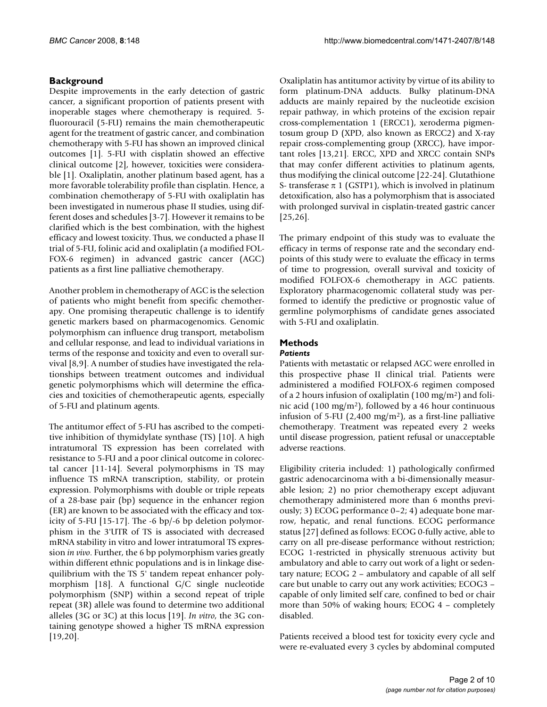# **Background**

Despite improvements in the early detection of gastric cancer, a significant proportion of patients present with inoperable stages where chemotherapy is required. 5 fluorouracil (5-FU) remains the main chemotherapeutic agent for the treatment of gastric cancer, and combination chemotherapy with 5-FU has shown an improved clinical outcomes [1]. 5-FU with cisplatin showed an effective clinical outcome [2], however, toxicities were considerable [1]. Oxaliplatin, another platinum based agent, has a more favorable tolerability profile than cisplatin. Hence, a combination chemotherapy of 5-FU with oxaliplatin has been investigated in numerous phase II studies, using different doses and schedules [3-7]. However it remains to be clarified which is the best combination, with the highest efficacy and lowest toxicity. Thus, we conducted a phase II trial of 5-FU, folinic acid and oxaliplatin (a modified FOL-FOX-6 regimen) in advanced gastric cancer (AGC) patients as a first line palliative chemotherapy.

Another problem in chemotherapy of AGC is the selection of patients who might benefit from specific chemotherapy. One promising therapeutic challenge is to identify genetic markers based on pharmacogenomics. Genomic polymorphism can influence drug transport, metabolism and cellular response, and lead to individual variations in terms of the response and toxicity and even to overall survival [8,9]. A number of studies have investigated the relationships between treatment outcomes and individual genetic polymorphisms which will determine the efficacies and toxicities of chemotherapeutic agents, especially of 5-FU and platinum agents.

The antitumor effect of 5-FU has ascribed to the competitive inhibition of thymidylate synthase (TS) [10]. A high intratumoral TS expression has been correlated with resistance to 5-FU and a poor clinical outcome in colorectal cancer [11-14]. Several polymorphisms in TS may influence TS mRNA transcription, stability, or protein expression. Polymorphisms with double or triple repeats of a 28-base pair (bp) sequence in the enhancer region (ER) are known to be associated with the efficacy and toxicity of 5-FU [15-17]. The -6 bp/-6 bp deletion polymorphism in the 3'UTR of TS is associated with decreased mRNA stability in vitro and lower intratumoral TS expression *in vivo*. Further, the 6 bp polymorphism varies greatly within different ethnic populations and is in linkage disequilibrium with the TS 5' tandem repeat enhancer polymorphism [18]. A functional G/C single nucleotide polymorphism (SNP) within a second repeat of triple repeat (3R) allele was found to determine two additional alleles (3G or 3C) at this locus [19]. *In vitro*, the 3G containing genotype showed a higher TS mRNA expression [19,20].

Oxaliplatin has antitumor activity by virtue of its ability to form platinum-DNA adducts. Bulky platinum-DNA adducts are mainly repaired by the nucleotide excision repair pathway, in which proteins of the excision repair cross-complementation 1 (ERCC1), xeroderma pigmentosum group D (XPD, also known as ERCC2) and X-ray repair cross-complementing group (XRCC), have important roles [13,21]. ERCC, XPD and XRCC contain SNPs that may confer different activities to platinum agents, thus modifying the clinical outcome [22-24]. Glutathione S- transferase  $\pi$  1 (GSTP1), which is involved in platinum detoxification, also has a polymorphism that is associated with prolonged survival in cisplatin-treated gastric cancer [25,26].

The primary endpoint of this study was to evaluate the efficacy in terms of response rate and the secondary endpoints of this study were to evaluate the efficacy in terms of time to progression, overall survival and toxicity of modified FOLFOX-6 chemotherapy in AGC patients. Exploratory pharmacogenomic collateral study was performed to identify the predictive or prognostic value of germline polymorphisms of candidate genes associated with 5-FU and oxaliplatin.

# **Methods**

# *Patients*

Patients with metastatic or relapsed AGC were enrolled in this prospective phase II clinical trial. Patients were administered a modified FOLFOX-6 regimen composed of a 2 hours infusion of oxaliplatin (100 mg/m2) and folinic acid (100 mg/m<sup>2</sup>), followed by a 46 hour continuous infusion of 5-FU (2,400 mg/m<sup>2</sup>), as a first-line palliative chemotherapy. Treatment was repeated every 2 weeks until disease progression, patient refusal or unacceptable adverse reactions.

Eligibility criteria included: 1) pathologically confirmed gastric adenocarcinoma with a bi-dimensionally measurable lesion; 2) no prior chemotherapy except adjuvant chemotherapy administered more than 6 months previously; 3) ECOG performance 0–2; 4) adequate bone marrow, hepatic, and renal functions. ECOG performance status [27] defined as follows: ECOG 0-fully active, able to carry on all pre-disease performance without restriction; ECOG 1-restricted in physically strenuous activity but ambulatory and able to carry out work of a light or sedentary nature; ECOG 2 – ambulatory and capable of all self care but unable to carry out any work activities; ECOG3 – capable of only limited self care, confined to bed or chair more than 50% of waking hours; ECOG 4 – completely disabled.

Patients received a blood test for toxicity every cycle and were re-evaluated every 3 cycles by abdominal computed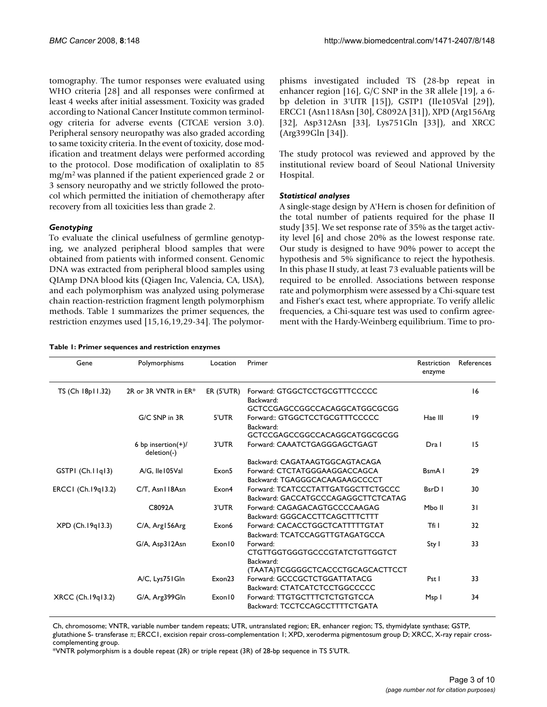tomography. The tumor responses were evaluated using WHO criteria [28] and all responses were confirmed at least 4 weeks after initial assessment. Toxicity was graded according to National Cancer Institute common terminology criteria for adverse events (CTCAE version 3.0). Peripheral sensory neuropathy was also graded according to same toxicity criteria. In the event of toxicity, dose modification and treatment delays were performed according to the protocol. Dose modification of oxaliplatin to 85 mg/m2 was planned if the patient experienced grade 2 or 3 sensory neuropathy and we strictly followed the protocol which permitted the initiation of chemotherapy after recovery from all toxicities less than grade 2.

# *Genotyping*

To evaluate the clinical usefulness of germline genotyping, we analyzed peripheral blood samples that were obtained from patients with informed consent. Genomic DNA was extracted from peripheral blood samples using QIAmp DNA blood kits (Qiagen Inc, Valencia, CA, USA), and each polymorphism was analyzed using polymerase chain reaction-restriction fragment length polymorphism methods. Table 1 summarizes the primer sequences, the restriction enzymes used [15,16,19,29-34]. The polymor-

**Table 1: Primer sequences and restriction enzymes**

phisms investigated included TS (28-bp repeat in enhancer region [16], G/C SNP in the 3R allele [19], a 6 bp deletion in 3'UTR [15]), GSTP1 (Ile105Val [29]), ERCC1 (Asn118Asn [30], C8092A [31]), XPD (Arg156Arg [32], Asp312Asn [33], Lys751Gln [33]), and XRCC (Arg399Gln [34]).

The study protocol was reviewed and approved by the institutional review board of Seoul National University Hospital.

# *Statistical analyses*

A single-stage design by A'Hern is chosen for definition of the total number of patients required for the phase II study [35]. We set response rate of 35% as the target activity level [6] and chose 20% as the lowest response rate. Our study is designed to have 90% power to accept the hypothesis and 5% significance to reject the hypothesis. In this phase II study, at least 73 evaluable patients will be required to be enrolled. Associations between response rate and polymorphism were assessed by a Chi-square test and Fisher's exact test, where appropriate. To verify allelic frequencies, a Chi-square test was used to confirm agreement with the Hardy-Weinberg equilibrium. Time to pro-

| Gene               | Polymorphisms                        | Location          | Primer                              | Restriction<br>enzyme | References |
|--------------------|--------------------------------------|-------------------|-------------------------------------|-----------------------|------------|
| TS (Ch 18p11.32)   | 2R or 3R VNTR in ER*                 | <b>ER (5'UTR)</b> | Forward: GTGGCTCCTGCGTTTCCCCC       |                       | 16         |
|                    |                                      |                   | Backward:                           |                       |            |
|                    |                                      |                   | GCTCCGAGCCGGCCACAGGCATGGCGCGG       |                       |            |
|                    | G/C SNP in 3R                        | 5'UTR             | Forward:: GTGGCTCCTGCGTTTCCCCC      | Hae III               | 9          |
|                    |                                      |                   | Backward:                           |                       |            |
|                    |                                      |                   | GCTCCGAGCCGGCCACAGGCATGGCGCGG       |                       |            |
|                    | 6 bp insertion $(+)/$<br>deletion(-) | 3'UTR             | Forward: CAAATCTGAGGGAGCTGAGT       | Dra I                 | 15         |
|                    |                                      |                   | Backward: CAGATAAGTGGCAGTACAGA      |                       |            |
| GSTPI (Ch.IIqI3)   | A/G, Ile105Val                       | Exon <sub>5</sub> | Forward: CTCTATGGGAAGGACCAGCA       | BsmA I                | 29         |
|                    |                                      |                   | Backward: TGAGGGCACAAGAAGCCCCT      |                       |            |
| ERCCI (Ch.19q13.2) | C/T. Asn I 18Asn                     | Exon4             | Forward: TCATCCCTATTGATGGCTTCTGCCC  | BsrD I                | 30         |
|                    |                                      |                   | Backward: GACCATGCCCAGAGGCTTCTCATAG |                       |            |
|                    | C8092A                               | 3'UTR             | Forward: CAGAGACAGTGCCCCAAGAG       | Mbo II                | 31         |
|                    |                                      |                   | Backward: GGGCACCTTCAGCTTTCTTT      |                       |            |
| $XPD$ (Ch.19q13.3) | C/A, Arg156Arg                       | Exon6             | Forward: CACACCTGGCTCATTTTTGTAT     | Tfi I                 | 32         |
|                    |                                      |                   | Backward: TCATCCAGGTTGTAGATGCCA     |                       |            |
|                    | G/A, Asp312Asn                       | Exon 10           | Forward:                            | Sty I                 | 33         |
|                    |                                      |                   | CTGTTGGTGGGTGCCCGTATCTGTTGGTCT      |                       |            |
|                    |                                      |                   | Backward:                           |                       |            |
|                    |                                      |                   | (TAATA)TCGGGGCTCACCCTGCAGCACTTCCT   |                       |            |
|                    | A/C, Lys751Gln                       | Exon23            | Forward: GCCCGCTCTGGATTATACG        | Pst I                 | 33         |
|                    |                                      |                   | Backward: CTATCATCTCCTGGCCCCC       |                       |            |
| XRCC (Ch.19q13.2)  | G/A, Arg399Gln                       | Exon 10           | Forward: TTGTGCTTTCTCTGTGTCCA       | Msp I                 | 34         |
|                    |                                      |                   | Backward: TCCTCCAGCCTTTTCTGATA      |                       |            |

Ch, chromosome; VNTR, variable number tandem repeats; UTR, untranslated region; ER, enhancer region; TS, thymidylate synthase; GSTP, glutathione S- transferase π; ERCC1, excision repair cross-complementation 1; XPD, xeroderma pigmentosum group D; XRCC, X-ray repair cross-

complementing group.

\*VNTR polymorphism is a double repeat (2R) or triple repeat (3R) of 28-bp sequence in TS 5'UTR.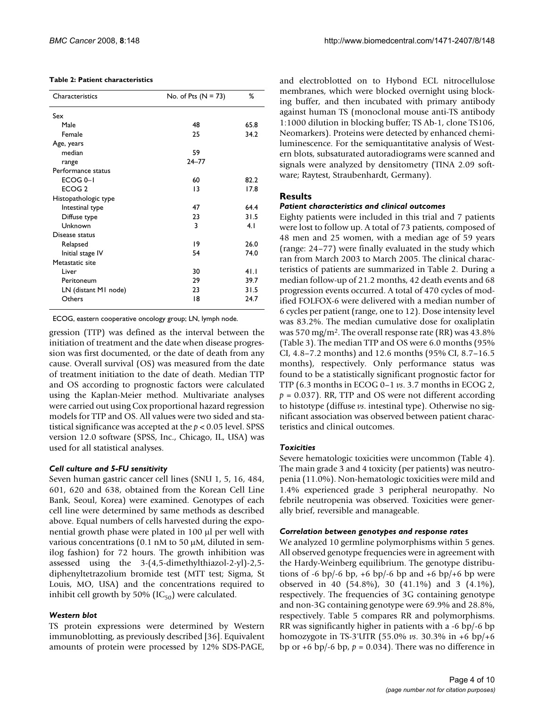#### **Table 2: Patient characteristics**

| Characteristics      | No. of Pts $(N = 73)$ | %    |
|----------------------|-----------------------|------|
| Sex                  |                       |      |
| Male                 | 48                    | 65.8 |
| Female               | 25                    | 34.2 |
| Age, years           |                       |      |
| median               | 59                    |      |
| range                | $24 - 77$             |      |
| Performance status   |                       |      |
| ECOG <sub>0-1</sub>  | 60                    | 82.2 |
| ECOG 2               | 13                    | 17.8 |
| Histopathologic type |                       |      |
| Intestinal type      | 47                    | 64.4 |
| Diffuse type         | 23                    | 31.5 |
| Unknown              | 3                     | 4.1  |
| Disease status       |                       |      |
| Relapsed             | 19                    | 26.0 |
| Initial stage IV     | 54                    | 74.0 |
| Metastatic site      |                       |      |
| Liver                | 30                    | 41.1 |
| Peritoneum           | 29                    | 39.7 |
| LN (distant MI node) | 23                    | 31.5 |
| Others               | 18                    | 24.7 |

ECOG, eastern cooperative oncology group; LN, lymph node.

gression (TTP) was defined as the interval between the initiation of treatment and the date when disease progression was first documented, or the date of death from any cause. Overall survival (OS) was measured from the date of treatment initiation to the date of death. Median TTP and OS according to prognostic factors were calculated using the Kaplan-Meier method. Multivariate analyses were carried out using Cox proportional hazard regression models for TTP and OS. All values were two sided and statistical significance was accepted at the *p* < 0.05 level. SPSS version 12.0 software (SPSS, Inc., Chicago, IL, USA) was used for all statistical analyses.

### *Cell culture and 5-FU sensitivity*

Seven human gastric cancer cell lines (SNU 1, 5, 16, 484, 601, 620 and 638, obtained from the Korean Cell Line Bank, Seoul, Korea) were examined. Genotypes of each cell line were determined by same methods as described above. Equal numbers of cells harvested during the exponential growth phase were plated in 100 μl per well with various concentrations (0.1 nM to 50 μM, diluted in semilog fashion) for 72 hours. The growth inhibition was assessed using the 3-(4,5-dimethylthiazol-2-yl)-2,5 diphenyltetrazolium bromide test (MTT test; Sigma, St Louis, MO, USA) and the concentrations required to inhibit cell growth by 50% ( $IC_{50}$ ) were calculated.

#### *Western blot*

TS protein expressions were determined by Western immunoblotting, as previously described [36]. Equivalent amounts of protein were processed by 12% SDS-PAGE,

and electroblotted on to Hybond ECL nitrocellulose membranes, which were blocked overnight using blocking buffer, and then incubated with primary antibody against human TS (monoclonal mouse anti-TS antibody 1:1000 dilution in blocking buffer; TS Ab-1, clone TS106, Neomarkers). Proteins were detected by enhanced chemiluminescence. For the semiquantitative analysis of Western blots, subsaturated autoradiograms were scanned and signals were analyzed by densitometry (TINA 2.09 software; Raytest, Straubenhardt, Germany).

### **Results**

#### *Patient characteristics and clinical outcomes*

Eighty patients were included in this trial and 7 patients were lost to follow up. A total of 73 patients, composed of 48 men and 25 women, with a median age of 59 years (range: 24–77) were finally evaluated in the study which ran from March 2003 to March 2005. The clinical characteristics of patients are summarized in Table 2. During a median follow-up of 21.2 months, 42 death events and 68 progression events occurred. A total of 470 cycles of modified FOLFOX-6 were delivered with a median number of 6 cycles per patient (range, one to 12). Dose intensity level was 83.2%. The median cumulative dose for oxaliplatin was 570 mg/m2. The overall response rate (RR) was 43.8% (Table 3). The median TTP and OS were 6.0 months (95% CI, 4.8–7.2 months) and 12.6 months (95% CI, 8.7–16.5 months), respectively. Only performance status was found to be a statistically significant prognostic factor for TTP (6.3 months in ECOG 0–1 *vs*. 3.7 months in ECOG 2,  $p = 0.037$ ). RR, TTP and OS were not different according to histotype (diffuse *vs*. intestinal type). Otherwise no significant association was observed between patient characteristics and clinical outcomes.

#### *Toxicities*

Severe hematologic toxicities were uncommon (Table 4). The main grade 3 and 4 toxicity (per patients) was neutropenia (11.0%). Non-hematologic toxicities were mild and 1.4% experienced grade 3 peripheral neuropathy. No febrile neutropenia was observed. Toxicities were generally brief, reversible and manageable.

#### *Correlation between genotypes and response rates*

We analyzed 10 germline polymorphisms within 5 genes. All observed genotype frequencies were in agreement with the Hardy-Weinberg equilibrium. The genotype distributions of -6 bp/-6 bp, +6 bp/-6 bp and +6 bp/+6 bp were observed in 40 (54.8%), 30 (41.1%) and 3 (4.1%), respectively. The frequencies of 3G containing genotype and non-3G containing genotype were 69.9% and 28.8%, respectively. Table 5 compares RR and polymorphisms. RR was significantly higher in patients with a -6 bp/-6 bp homozygote in TS-3'UTR (55.0% *vs*. 30.3% in +6 bp/+6 bp or  $+6$  bp/ $-6$  bp,  $p = 0.034$ ). There was no difference in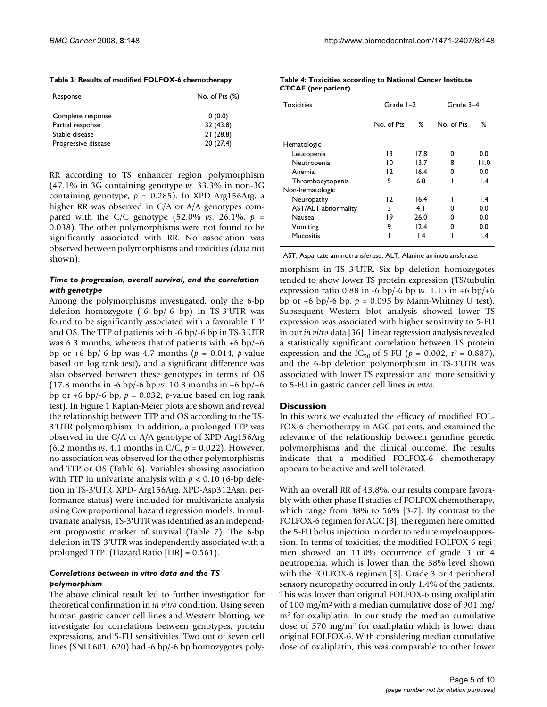| Response            | No. of Pts $(\%)$ |  |  |  |  |
|---------------------|-------------------|--|--|--|--|
| Complete response   | 0(0.0)            |  |  |  |  |
| Partial response    | 32 (43.8)         |  |  |  |  |
| Stable disease      | 21(28.8)          |  |  |  |  |
| Progressive disease | 20(27.4)          |  |  |  |  |

RR according to TS enhancer region polymorphism (47.1% in 3G containing genotype *vs*. 33.3% in non-3G containing genotype,  $p = 0.285$ ). In XPD Arg156Arg, a higher RR was observed in C/A or A/A genotypes compared with the C/C genotype (52.0% *vs*. 26.1%, *p* = 0.038). The other polymorphisms were not found to be significantly associated with RR. No association was observed between polymorphisms and toxicities (data not shown).

# *Time to progression, overall survival, and the correlation with genotype*

Among the polymorphisms investigated, only the 6-bp deletion homozygote (-6 bp/-6 bp) in TS-3'UTR was found to be significantly associated with a favorable TTP and OS. The TTP of patients with -6 bp/-6 bp in TS-3'UTR was 6.3 months, whereas that of patients with  $+6$  bp/ $+6$ bp or  $+6$  bp/-6 bp was 4.7 months ( $p = 0.014$ , *p*-value based on log rank test), and a significant difference was also observed between these genotypes in terms of OS (17.8 months in -6 bp/-6 bp *vs*. 10.3 months in +6 bp/+6 bp or  $+6$  bp/ $-6$  bp,  $p = 0.032$ , *p*-value based on log rank test). In Figure 1 Kaplan-Meier plots are shown and reveal the relationship between TTP and OS according to the TS-3'UTR polymorphism. In addition, a prolonged TTP was observed in the C/A or A/A genotype of XPD Arg156Arg (6.2 months *vs*. 4.1 months in C/C, *p* = 0.022). However, no association was observed for the other polymorphisms and TTP or OS (Table 6). Variables showing association with TTP in univariate analysis with *p* < 0.10 (6-bp deletion in TS-3'UTR, XPD- Arg156Arg, XPD-Asp312Asn, performance status) were included for multivariate analysis using Cox proportional hazard regression models. In multivariate analysis, TS-3'UTR was identified as an independent prognostic marker of survival (Table 7). The 6-bp deletion in TS-3'UTR was independently associated with a prolonged TTP. (Hazard Ratio [HR] = 0.561).

# *Correlations between in vitro data and the TS polymorphism*

The above clinical result led to further investigation for theoretical confirmation in *in vitro* condition. Using seven human gastric cancer cell lines and Western blotting, we investigate for correlations between genotypes, protein expressions, and 5-FU sensitivities. Two out of seven cell lines (SNU 601, 620) had -6 bp/-6 bp homozygotes poly-

| Table 4: Toxicities according to National Cancer Institute |  |
|------------------------------------------------------------|--|
| <b>CTCAE</b> (per patient)                                 |  |

| <b>Toxicities</b>   | Grade $I-2$ |                 | Grade 3-4  |                 |  |
|---------------------|-------------|-----------------|------------|-----------------|--|
|                     | No. of Pts  | ℅               | No. of Pts | ℅               |  |
| Hematologic         |             |                 |            |                 |  |
| Leucopenia          | 13          | 17.8            | o          | 0.0             |  |
| Neutropenia         | 10          | 13.7            | 8          | 11.0            |  |
| Anemia              | 12          | 16.4            | 0          | 0.0             |  |
| Thrombocytopenia    | 5           | 6.8             |            | $\mathsf{I}$ .4 |  |
| Non-hematologic     |             |                 |            |                 |  |
| Neuropathy          | 12          | 16.4            |            | I.4             |  |
| AST/ALT abnormality | 3           | 4.1             | o          | 0.0             |  |
| Nausea              | 19          | 26.0            | o          | 0.0             |  |
| Vomiting            | 9           | 12.4            | O          | 0.0             |  |
| <b>Mucositis</b>    |             | $\mathsf{I}$ .4 |            | I.4             |  |

AST, Aspartate aminotransferase; ALT, Alanine aminotransferase.

morphism in TS 3'UTR. Six bp deletion homozygotes tended to show lower TS protein expression (TS/tubulin expression ratio 0.88 in -6 bp/-6 bp *vs*. 1.15 in +6 bp/+6 bp or  $+6$  bp/ $-6$  bp,  $p = 0.095$  by Mann-Whitney U test). Subsequent Western blot analysis showed lower TS expression was associated with higher sensitivity to 5-FU in our *in vitro* data [36]. Linear regression analysis revealed a statistically significant correlation between TS protein expression and the IC<sub>50</sub> of 5-FU ( $p = 0.002$ ,  $r^2 = 0.887$ ), and the 6-bp deletion polymorphism in TS-3'UTR was associated with lower TS expression and more sensitivity to 5-FU in gastric cancer cell lines *in vitro*.

# **Discussion**

In this work we evaluated the efficacy of modified FOL-FOX-6 chemotherapy in AGC patients, and examined the relevance of the relationship between germline genetic polymorphisms and the clinical outcome. The results indicate that a modified FOLFOX-6 chemotherapy appears to be active and well tolerated.

With an overall RR of 43.8%, our results compare favorably with other phase II studies of FOLFOX chemotherapy, which range from 38% to 56% [3-7]. By contrast to the FOLFOX-6 regimen for AGC [3], the regimen here omitted the 5-FU bolus injection in order to reduce myelosuppression. In terms of toxicities, the modified FOLFOX-6 regimen showed an 11.0% occurrence of grade 3 or 4 neutropenia, which is lower than the 38% level shown with the FOLFOX-6 regimen [3]. Grade 3 or 4 peripheral sensory neuropathy occurred in only 1.4% of the patients. This was lower than original FOLFOX-6 using oxaliplatin of 100 mg/m2 with a median cumulative dose of 901 mg/ m2 for oxaliplatin. In our study the median cumulative dose of 570 mg/m2 for oxaliplatin which is lower than original FOLFOX-6. With considering median cumulative dose of oxaliplatin, this was comparable to other lower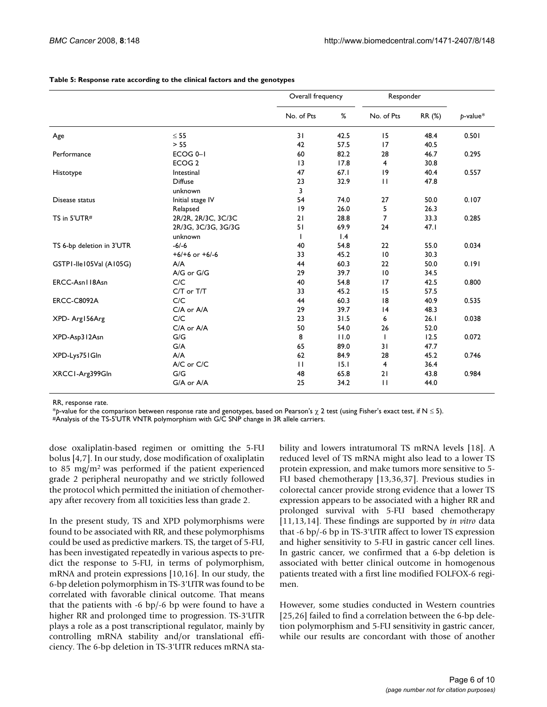|                           |                     | Overall frequency |      | Responder       |        |             |
|---------------------------|---------------------|-------------------|------|-----------------|--------|-------------|
|                           |                     | No. of Pts        | %    | No. of Pts      | RR (%) | $p$ -value* |
| Age                       | $\leq$ 55           | 31                | 42.5 | 15              | 48.4   | 0.501       |
|                           | > 55                | 42                | 57.5 | 17              | 40.5   |             |
| Performance               | ECOG <sub>0-1</sub> | 60                | 82.2 | 28              | 46.7   | 0.295       |
|                           | ECOG <sub>2</sub>   | 13                | 17.8 | $\overline{4}$  | 30.8   |             |
| Histotype                 | Intestinal          | 47                | 67.1 | 9               | 40.4   | 0.557       |
|                           | <b>Diffuse</b>      | 23                | 32.9 | $\mathbf{H}$    | 47.8   |             |
|                           | unknown             | 3                 |      |                 |        |             |
| Disease status            | Initial stage IV    | 54                | 74.0 | 27              | 50.0   | 0.107       |
|                           | Relapsed            | 19                | 26.0 | 5               | 26.3   |             |
| TS in 5'UTR#              | 2R/2R, 2R/3C, 3C/3C | 21                | 28.8 | $\overline{7}$  | 33.3   | 0.285       |
|                           | 2R/3G, 3C/3G, 3G/3G | 51                | 69.9 | 24              | 47.1   |             |
|                           | unknown             | ı                 | 1.4  |                 |        |             |
| TS 6-bp deletion in 3'UTR | $-6/-6$             | 40                | 54.8 | 22              | 55.0   | 0.034       |
|                           | $+6/+6$ or $+6/-6$  | 33                | 45.2 | 10              | 30.3   |             |
| GSTPI-lle105Val (A105G)   | A/A                 | 44                | 60.3 | 22              | 50.0   | 0.191       |
|                           | $A/G$ or $G/G$      | 29                | 39.7 | $\overline{10}$ | 34.5   |             |
| ERCC-Asn118Asn            | C/C                 | 40                | 54.8 | 17              | 42.5   | 0.800       |
|                           | C/T or T/T          | 33                | 45.2 | 15              | 57.5   |             |
| <b>ERCC-C8092A</b>        | C/C                 | 44                | 60.3 | 18              | 40.9   | 0.535       |
|                           | C/A or A/A          | 29                | 39.7 | 4               | 48.3   |             |
| XPD-Arg156Arg             | C/C                 | 23                | 31.5 | 6               | 26.1   | 0.038       |
|                           | C/A or A/A          | 50                | 54.0 | 26              | 52.0   |             |
| XPD-Asp312Asn             | G/G                 | 8                 | 11.0 | T               | 12.5   | 0.072       |
|                           | G/A                 | 65                | 89.0 | 31              | 47.7   |             |
| XPD-Lys751Gln             | A/A                 | 62                | 84.9 | 28              | 45.2   | 0.746       |
|                           | A/C or C/C          | $\mathbf{H}$      | 15.1 | $\overline{4}$  | 36.4   |             |
| XRCCI-Arg399Gln           | G/G                 | 48                | 65.8 | 21              | 43.8   | 0.984       |
|                           | G/A or A/A          | 25                | 34.2 | $\mathbf{H}$    | 44.0   |             |

**Table 5: Response rate according to the clinical factors and the genotypes**

RR, response rate.

\**p*-value for the comparison between response rate and genotypes, based on Pearson's χ 2 test (using Fisher's exact test, if N ≤ 5).

#Analysis of the TS-5'UTR VNTR polymorphism with G/C SNP change in 3R allele carriers.

dose oxaliplatin-based regimen or omitting the 5-FU bolus [4,7]. In our study, dose modification of oxaliplatin to 85 mg/m2 was performed if the patient experienced grade 2 peripheral neuropathy and we strictly followed the protocol which permitted the initiation of chemotherapy after recovery from all toxicities less than grade 2.

In the present study, TS and XPD polymorphisms were found to be associated with RR, and these polymorphisms could be used as predictive markers. TS, the target of 5-FU, has been investigated repeatedly in various aspects to predict the response to 5-FU, in terms of polymorphism, mRNA and protein expressions [10,16]. In our study, the 6-bp deletion polymorphism in TS-3'UTR was found to be correlated with favorable clinical outcome. That means that the patients with -6 bp/-6 bp were found to have a higher RR and prolonged time to progression. TS-3'UTR plays a role as a post transcriptional regulator, mainly by controlling mRNA stability and/or translational efficiency. The 6-bp deletion in TS-3'UTR reduces mRNA stability and lowers intratumoral TS mRNA levels [18]. A reduced level of TS mRNA might also lead to a lower TS protein expression, and make tumors more sensitive to 5- FU based chemotherapy [13,36,37]. Previous studies in colorectal cancer provide strong evidence that a lower TS expression appears to be associated with a higher RR and prolonged survival with 5-FU based chemotherapy [11,13,14]. These findings are supported by *in vitro* data that -6 bp/-6 bp in TS-3'UTR affect to lower TS expression and higher sensitivity to 5-FU in gastric cancer cell lines. In gastric cancer, we confirmed that a 6-bp deletion is associated with better clinical outcome in homogenous patients treated with a first line modified FOLFOX-6 regimen.

However, some studies conducted in Western countries [25,26] failed to find a correlation between the 6-bp deletion polymorphism and 5-FU sensitivity in gastric cancer, while our results are concordant with those of another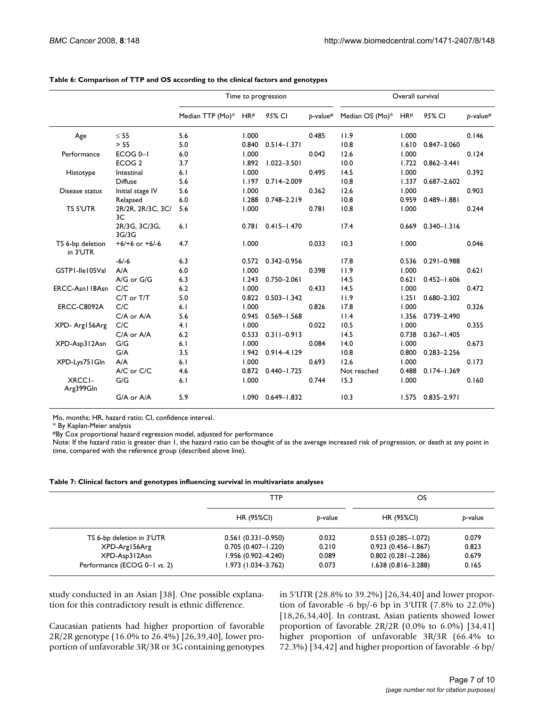|                              |                         | Time to progression |       |                 | Overall survival |                 |       |                 |             |
|------------------------------|-------------------------|---------------------|-------|-----------------|------------------|-----------------|-------|-----------------|-------------|
|                              |                         | Median TTP (Mo)*    | HR#   | 95% CI          | $b$ -value#      | Median OS (Mo)* | HR#   | 95% CI          | $b$ -value# |
| Age                          | $\leq 55$               | 5.6                 | 1.000 |                 | 0.485            | 11.9            | 1.000 |                 | 0.146       |
|                              | > 55                    | 5.0                 | 0.840 | $0.514 - 1.371$ |                  | 10.8            | 1.610 | 0.847-3.060     |             |
| Performance                  | ECOG <sub>0-1</sub>     | 6.0                 | 1.000 |                 | 0.042            | 12.6            | 1.000 |                 | 0.124       |
|                              | ECOG <sub>2</sub>       | 3.7                 | 1.892 | $1.022 - 3.501$ |                  | 10.0            | 1.722 | $0.862 - 3.441$ |             |
| Histotype                    | Intestinal              | 6.1                 | 1.000 |                 | 0.495            | 14.5            | 1.000 |                 | 0.392       |
|                              | <b>Diffuse</b>          | 5.6                 | 1.197 | $0.714 - 2.009$ |                  | 10.8            | 1.337 | $0.687 - 2.602$ |             |
| Disease status               | Initial stage IV        | 5.6                 | 1.000 |                 | 0.362            | 12.6            | 1.000 |                 | 0.903       |
|                              | Relapsed                | 6.0                 | 1.288 | $0.748 - 2.219$ |                  | 10.8            | 0.959 | $0.489 - 1.881$ |             |
| <b>TS 5'UTR</b>              | 2R/2R, 2R/3C, 3C/<br>3C | 5.6                 | 1.000 |                 | 0.781            | 10.8            | 1.000 |                 | 0.244       |
|                              | 2R/3G, 3C/3G,<br>3G/3G  | 6.1                 | 0.781 | $0.415 - 1.470$ |                  | 17.4            | 0.669 | $0.340 - 1.316$ |             |
| TS 6-bp deletion<br>in 3'UTR | $+6/+6$ or $+6/-6$      | 4.7                 | 1.000 |                 | 0.033            | 10.3            | 1.000 |                 | 0.046       |
|                              | $-6/-6$                 | 6.3                 | 0.572 | $0.342 - 0.956$ |                  | 17.8            | 0.536 | $0.291 - 0.988$ |             |
| GSTPI-lle105Val              | A/A                     | 6.0                 | 1.000 |                 | 0.398            | 11.9            | 1.000 |                 | 0.621       |
|                              | $A/G$ or $G/G$          | 6.3                 | 1.243 | $0.750 - 2.061$ |                  | 14.5            | 0.621 | $0.452 - 1.606$ |             |
| ERCC-Asn118Asn               | C/C                     | 6.2                 | 1.000 |                 | 0.433            | 14.5            | 1.000 |                 | 0.472       |
|                              | C/T or T/T              | 5.0                 | 0.822 | $0.503 - 1.342$ |                  | 11.9            | 1.251 | 0.680-2.302     |             |
| <b>ERCC-C8092A</b>           | C/C                     | 6.1                 | 1.000 |                 | 0.826            | 17.8            | 1.000 |                 | 0.326       |
|                              | C/A or A/A              | 5.6                 | 0.945 | $0.569 - 1.568$ |                  | 11.4            | 1.356 | 0.739-2.490     |             |
| XPD-Arg156Arg                | C/C                     | 4.1                 | 1.000 |                 | 0.022            | 10.5            | 1.000 |                 | 0.355       |
|                              | C/A or A/A              | 6.2                 | 0.533 | $0.311 - 0.913$ |                  | 14.5            | 0.738 | $0.367 - 1.405$ |             |
| XPD-Asp312Asn                | G/G                     | 6.1                 | 1.000 |                 | 0.084            | 14.0            | 1.000 |                 | 0.673       |
|                              | G/A                     | 3.5                 | 1.942 | $0.914 - 4.129$ |                  | 10.8            | 0.800 | $0.283 - 2.256$ |             |
| XPD-Lys751Gln                | A/A                     | 6.1                 | 1.000 |                 | 0.693            | 12.6            | 1.000 |                 | 0.173       |
|                              | A/C or C/C              | 4.6                 | 0.872 | $0.440 - 1.725$ |                  | Not reached     | 0.488 | $0.174 - 1.369$ |             |
| <b>XRCCI-</b><br>Arg399Gln   | G/G                     | 6.1                 | 1.000 |                 | 0.744            | 15.3            | 1.000 |                 | 0.160       |
|                              | G/A or A/A              | 5.9                 | 1.090 | $0.649 - 1.832$ |                  | 10.3            | 1.575 | $0.835 - 2.971$ |             |

#### **Table 6: Comparison of TTP and OS according to the clinical factors and genotypes**

Mo, months; HR, hazard ratio; CI, confidence interval.

\* By Kaplan-Meier analysis

#By Cox proportional hazard regression model, adjusted for performance

Note: If the hazard ratio is greater than 1, the hazard ratio can be thought of as the average increased risk of progression, or death at any point in time, compared with the reference group (described above line).

#### **Table 7: Clinical factors and genotypes influencing survival in multivariate analyses**

|                              | TTP                    |         | OS                     |         |  |
|------------------------------|------------------------|---------|------------------------|---------|--|
|                              | <b>HR (95%CI)</b>      | b-value | <b>HR (95%CI)</b>      | p-value |  |
| TS 6-bp deletion in 3'UTR    | $0.561(0.331 - 0.950)$ | 0.032   | $0.553(0.285 - 1.072)$ | 0.079   |  |
| XPD-Arg156Arg                | $0.705(0.407 - 1.220)$ | 0.210   | $0.923(0.456 - 1.867)$ | 0.823   |  |
| XPD-Asp312Asn                | $1.956(0.902 - 4.240)$ | 0.089   | $0.802(0.281 - 2.286)$ | 0.679   |  |
| Performance (ECOG 0-1 vs. 2) | $1.973(1.034 - 3.762)$ | 0.073   | $1.638(0.816 - 3.288)$ | 0.165   |  |

study conducted in an Asian [38]. One possible explanation for this contradictory result is ethnic difference.

Caucasian patients had higher proportion of favorable 2R/2R genotype (16.0% to 26.4%) [26,39,40], lower proportion of unfavorable 3R/3R or 3G containing genotypes

in 5'UTR (28.8% to 39.2%) [26,34,40] and lower proportion of favorable -6 bp/-6 bp in 3'UTR (7.8% to 22.0%) [18,26,34,40]. In contrast, Asian patients showed lower proportion of favorable 2R/2R (0.0% to 6.0%) [34,41] higher proportion of unfavorable 3R/3R (66.4% to 72.3%) [34,42] and higher proportion of favorable -6 bp/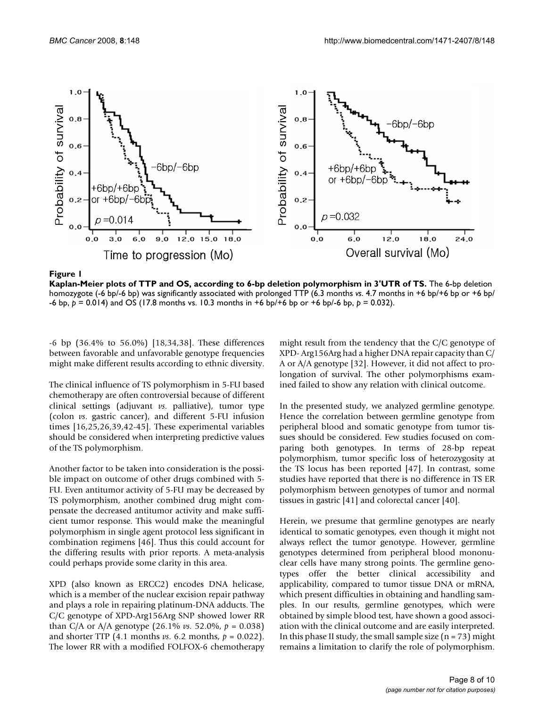

Kaplan-Meier plots of TTP and OS, according to **Figure 1** 6-bp deletion polymorphism in 3'UTR of TS

**Kaplan-Meier plots of TTP and OS, according to 6-bp deletion polymorphism in 3'UTR of TS.** The 6-bp deletion homozygote (-6 bp/-6 bp) was significantly associated with prolonged TTP (6.3 months *vs.* 4.7 months in +6 bp/+6 bp or +6 bp/ -6 bp, *p* = 0.014) and OS (17.8 months vs. 10.3 months in +6 bp/+6 bp or +6 bp/-6 bp, *p* = 0.032).

-6 bp (36.4% to 56.0%) [18,34,38]. These differences between favorable and unfavorable genotype frequencies might make different results according to ethnic diversity.

The clinical influence of TS polymorphism in 5-FU based chemotherapy are often controversial because of different clinical settings (adjuvant *vs*. palliative), tumor type (colon *vs*. gastric cancer), and different 5-FU infusion times [16,25,26,39,42-45]. These experimental variables should be considered when interpreting predictive values of the TS polymorphism.

Another factor to be taken into consideration is the possible impact on outcome of other drugs combined with 5- FU. Even antitumor activity of 5-FU may be decreased by TS polymorphism, another combined drug might compensate the decreased antitumor activity and make sufficient tumor response. This would make the meaningful polymorphism in single agent protocol less significant in combination regimens [46]. Thus this could account for the differing results with prior reports. A meta-analysis could perhaps provide some clarity in this area.

XPD (also known as ERCC2) encodes DNA helicase, which is a member of the nuclear excision repair pathway and plays a role in repairing platinum-DNA adducts. The C/C genotype of XPD-Arg156Arg SNP showed lower RR than C/A or A/A genotype  $(26.1\% \text{ vs. } 52.0\%, \text{ p} = 0.038)$ and shorter TTP (4.1 months *vs*. 6.2 months, *p* = 0.022). The lower RR with a modified FOLFOX-6 chemotherapy

might result from the tendency that the C/C genotype of XPD- Arg156Arg had a higher DNA repair capacity than C/ A or A/A genotype [32]. However, it did not affect to prolongation of survival. The other polymorphisms examined failed to show any relation with clinical outcome.

In the presented study, we analyzed germline genotype. Hence the correlation between germline genotype from peripheral blood and somatic genotype from tumor tissues should be considered. Few studies focused on comparing both genotypes. In terms of 28-bp repeat polymorphism, tumor specific loss of heterozygosity at the TS locus has been reported [47]. In contrast, some studies have reported that there is no difference in TS ER polymorphism between genotypes of tumor and normal tissues in gastric [41] and colorectal cancer [40].

Herein, we presume that germline genotypes are nearly identical to somatic genotypes, even though it might not always reflect the tumor genotype. However, germline genotypes determined from peripheral blood mononuclear cells have many strong points. The germline genotypes offer the better clinical accessibility and applicability, compared to tumor tissue DNA or mRNA, which present difficulties in obtaining and handling samples. In our results, germline genotypes, which were obtained by simple blood test, have shown a good association with the clinical outcome and are easily interpreted. In this phase II study, the small sample size  $(n = 73)$  might remains a limitation to clarify the role of polymorphism.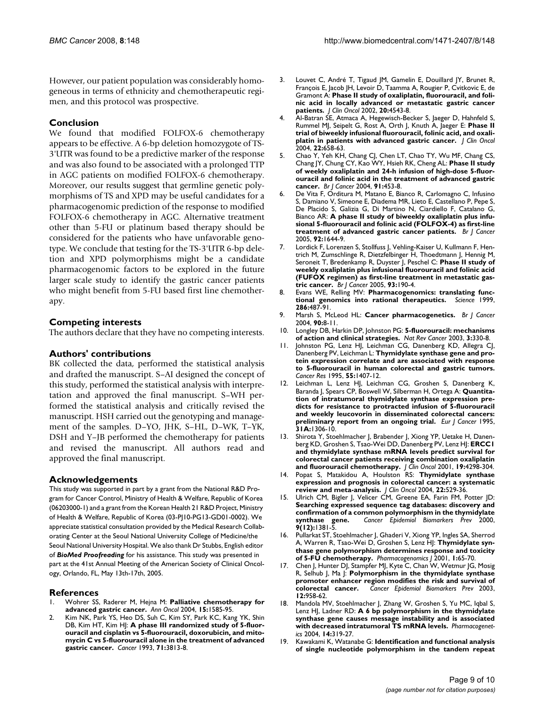However, our patient population was considerably homogeneous in terms of ethnicity and chemotherapeutic regimen, and this protocol was prospective.

# **Conclusion**

We found that modified FOLFOX-6 chemotherapy appears to be effective. A 6-bp deletion homozygote of TS-3'UTR was found to be a predictive marker of the response and was also found to be associated with a prolonged TTP in AGC patients on modified FOLFOX-6 chemotherapy. Moreover, our results suggest that germline genetic polymorphisms of TS and XPD may be useful candidates for a pharmacogenomic prediction of the response to modified FOLFOX-6 chemotherapy in AGC. Alternative treatment other than 5-FU or platinum based therapy should be considered for the patients who have unfavorable genotype. We conclude that testing for the TS-3'UTR 6-bp deletion and XPD polymorphisms might be a candidate pharmacogenomic factors to be explored in the future larger scale study to identify the gastric cancer patients who might benefit from 5-FU based first line chemotherapy.

# **Competing interests**

The authors declare that they have no competing interests.

# **Authors' contributions**

BK collected the data, performed the statistical analysis and drafted the manuscript. S–AI designed the concept of this study, performed the statistical analysis with interpretation and approved the final manuscript. S–WH performed the statistical analysis and critically revised the manuscript. HSH carried out the genotyping and management of the samples. D–YO, JHK, S–HL, D–WK, T–YK, DSH and Y–JB performed the chemotherapy for patients and revised the manuscript. All authors read and approved the final manuscript.

# **Acknowledgements**

This study was supported in part by a grant from the National R&D Program for Cancer Control, Ministry of Health & Welfare, Republic of Korea (06203000-1) and a grant from the Korean Health 21 R&D Project, Ministry of Health & Welfare, Republic of Korea (03-PJ10-PG13-GD01-0002). We appreciate statistical consultation provided by the Medical Research Collaborating Center at the Seoul National University College of Medicine/the Seoul National University Hospital. We also thank Dr Stubbs, English editor of *BioMed Proofreading* for his assistance. This study was presented in part at the 41st Annual Meeting of the American Society of Clinical Oncology, Orlando, FL, May 13th-17th, 2005.

#### **References**

- 1. Wohrer SS, Raderer M, Hejna M: **[Palliative chemotherapy for](http://www.ncbi.nlm.nih.gov/entrez/query.fcgi?cmd=Retrieve&db=PubMed&dopt=Abstract&list_uids=15520058) [advanced gastric cancer.](http://www.ncbi.nlm.nih.gov/entrez/query.fcgi?cmd=Retrieve&db=PubMed&dopt=Abstract&list_uids=15520058)** *Ann Oncol* 2004, **15:**1585-95.
- Kim NK, Park YS, Heo DS, Suh C, Kim SY, Park KC, Kang YK, Shin DB, Kim HT, Kim HJ: **[A phase III randomized study of 5-fluor](http://www.ncbi.nlm.nih.gov/entrez/query.fcgi?cmd=Retrieve&db=PubMed&dopt=Abstract&list_uids=8508349)[ouracil and cisplatin vs 5-fluorouracil, doxorubicin, and mito](http://www.ncbi.nlm.nih.gov/entrez/query.fcgi?cmd=Retrieve&db=PubMed&dopt=Abstract&list_uids=8508349)mycin C vs 5-fluorouracil alone in the treatment of advanced [gastric cancer.](http://www.ncbi.nlm.nih.gov/entrez/query.fcgi?cmd=Retrieve&db=PubMed&dopt=Abstract&list_uids=8508349)** *Cancer* 1993, **71:**3813-8.
- 3. Louvet C, André T, Tigaud JM, Gamelin E, Douillard JY, Brunet R, François E, Jacob JH, Levoir D, Taamma A, Rougier P, Cvitkovic E, de Gramont A: **[Phase II study of oxaliplatin, fluorouracil, and foli](http://www.ncbi.nlm.nih.gov/entrez/query.fcgi?cmd=Retrieve&db=PubMed&dopt=Abstract&list_uids=12454110)[nic acid in locally advanced or metastatic gastric cancer](http://www.ncbi.nlm.nih.gov/entrez/query.fcgi?cmd=Retrieve&db=PubMed&dopt=Abstract&list_uids=12454110) [patients.](http://www.ncbi.nlm.nih.gov/entrez/query.fcgi?cmd=Retrieve&db=PubMed&dopt=Abstract&list_uids=12454110)** *J Clin Oncol* 2002, **20:**4543-8.
- 4. Al-Batran SE, Atmaca A, Hegewisch-Becker S, Jaeger D, Hahnfeld S, Rummel MJ, Seipelt G, Rost A, Orth J, Knuth A, Jaeger E: **[Phase II](http://www.ncbi.nlm.nih.gov/entrez/query.fcgi?cmd=Retrieve&db=PubMed&dopt=Abstract&list_uids=14966088) [trial of biweekly infusional fluorouracil, folinic acid, and oxali](http://www.ncbi.nlm.nih.gov/entrez/query.fcgi?cmd=Retrieve&db=PubMed&dopt=Abstract&list_uids=14966088)[platin in patients with advanced gastric cancer.](http://www.ncbi.nlm.nih.gov/entrez/query.fcgi?cmd=Retrieve&db=PubMed&dopt=Abstract&list_uids=14966088)** *J Clin Oncol* 2004, **22:**658-63.
- 5. Chao Y, Yeh KH, Chang CJ, Chen LT, Chao TY, Wu MF, Chang CS, Chang JY, Chung CY, Kao WY, Hsieh RK, Cheng AL: **[Phase II study](http://www.ncbi.nlm.nih.gov/entrez/query.fcgi?cmd=Retrieve&db=PubMed&dopt=Abstract&list_uids=15226770) [of weekly oxaliplatin and 24-h infusion of high-dose 5-fluor](http://www.ncbi.nlm.nih.gov/entrez/query.fcgi?cmd=Retrieve&db=PubMed&dopt=Abstract&list_uids=15226770)ouracil and folinic acid in the treatment of advanced gastric [cancer.](http://www.ncbi.nlm.nih.gov/entrez/query.fcgi?cmd=Retrieve&db=PubMed&dopt=Abstract&list_uids=15226770)** *Br J Cancer* 2004, **91:**453-8.
- 6. De Vita F, Orditura M, Matano E, Bianco R, Carlomagno C, Infusino S, Damiano V, Simeone E, Diadema MR, Lieto E, Castellano P, Pepe S, De Placido S, Galizia G, Di Martino N, Ciardiello F, Catalano G, Bianco AR: **[A phase II study of biweekly oxaliplatin plus infu](http://www.ncbi.nlm.nih.gov/entrez/query.fcgi?cmd=Retrieve&db=PubMed&dopt=Abstract&list_uids=15856038)[sional 5-fluorouracil and folinic acid \(FOLFOX-4\) as first-line](http://www.ncbi.nlm.nih.gov/entrez/query.fcgi?cmd=Retrieve&db=PubMed&dopt=Abstract&list_uids=15856038) [treatment of advanced gastric cancer patients.](http://www.ncbi.nlm.nih.gov/entrez/query.fcgi?cmd=Retrieve&db=PubMed&dopt=Abstract&list_uids=15856038)** *Br J Cancer* 2005, **92:**1644-9.
- 7. Lordick F, Lorenzen S, Stollfuss J, Vehling-Kaiser U, Kullmann F, Hentrich M, Zumschlinge R, Dietzfelbinger H, Thoedtmann J, Hennig M, Seroneit T, Bredenkamp R, Duyster J, Peschel C: **[Phase II study of](http://www.ncbi.nlm.nih.gov/entrez/query.fcgi?cmd=Retrieve&db=PubMed&dopt=Abstract&list_uids=16012522) [weekly oxaliplatin plus infusional fluorouracil and folinic acid](http://www.ncbi.nlm.nih.gov/entrez/query.fcgi?cmd=Retrieve&db=PubMed&dopt=Abstract&list_uids=16012522) (FUFOX regimen) as first-line treatment in metastatic gas[tric cancer.](http://www.ncbi.nlm.nih.gov/entrez/query.fcgi?cmd=Retrieve&db=PubMed&dopt=Abstract&list_uids=16012522)** *Br J Cancer* 2005, **93:**190-4.
- 8. Evans WE, Relling MV: **[Pharmacogenomics: translating func](http://www.ncbi.nlm.nih.gov/entrez/query.fcgi?cmd=Retrieve&db=PubMed&dopt=Abstract&list_uids=10521338)[tional genomics into rational therapeutics.](http://www.ncbi.nlm.nih.gov/entrez/query.fcgi?cmd=Retrieve&db=PubMed&dopt=Abstract&list_uids=10521338)** *Science* 1999, **286:**487-91.
- 9. Marsh S, McLeod HL: **[Cancer pharmacogenetics.](http://www.ncbi.nlm.nih.gov/entrez/query.fcgi?cmd=Retrieve&db=PubMed&dopt=Abstract&list_uids=14710198)** *Br J Cancer* 2004, **90:**8-11.
- 10. Longley DB, Harkin DP, Johnston PG: **[5-fluorouracil: mechanisms](http://www.ncbi.nlm.nih.gov/entrez/query.fcgi?cmd=Retrieve&db=PubMed&dopt=Abstract&list_uids=12724731) [of action and clinical strategies.](http://www.ncbi.nlm.nih.gov/entrez/query.fcgi?cmd=Retrieve&db=PubMed&dopt=Abstract&list_uids=12724731)** *Nat Rev Cancer* 2003, **3:**330-8.
- 11. Johnston PG, Lenz HJ, Leichman CG, Danenberg KD, Allegra CJ, Danenberg PV, Leichman L: **[Thymidylate synthase gene and pro](http://www.ncbi.nlm.nih.gov/entrez/query.fcgi?cmd=Retrieve&db=PubMed&dopt=Abstract&list_uids=7882343)[tein expression correlate and are associated with response](http://www.ncbi.nlm.nih.gov/entrez/query.fcgi?cmd=Retrieve&db=PubMed&dopt=Abstract&list_uids=7882343) to 5-fluorouracil in human colorectal and gastric tumors.** *Cancer Res* 1995, **55:**1407-12.
- 12. Leichman L, Lenz HJ, Leichman CG, Groshen S, Danenberg K, Baranda J, Spears CP, Boswell W, Silberman H, Ortega A: **[Quantita](http://www.ncbi.nlm.nih.gov/entrez/query.fcgi?cmd=Retrieve&db=PubMed&dopt=Abstract&list_uids=7577041)[tion of intratumoral thymidylate synthase expression pre](http://www.ncbi.nlm.nih.gov/entrez/query.fcgi?cmd=Retrieve&db=PubMed&dopt=Abstract&list_uids=7577041)dicts for resistance to protracted infusion of 5-fluorouracil and weekly leucovorin in disseminated colorectal cancers: [preliminary report from an ongoing trial.](http://www.ncbi.nlm.nih.gov/entrez/query.fcgi?cmd=Retrieve&db=PubMed&dopt=Abstract&list_uids=7577041)** *Eur J Cancer* 1995, **31A:**1306-10.
- 13. Shirota Y, Stoehlmacher J, Brabender J, Xiong YP, Uetake H, Danenberg KD, Groshen S, Tsao-Wei DD, Danenberg PV, Lenz HJ: **[ERCC1](http://www.ncbi.nlm.nih.gov/entrez/query.fcgi?cmd=Retrieve&db=PubMed&dopt=Abstract&list_uids=11731512) [and thymidylate synthase mRNA levels predict survival for](http://www.ncbi.nlm.nih.gov/entrez/query.fcgi?cmd=Retrieve&db=PubMed&dopt=Abstract&list_uids=11731512) colorectal cancer patients receiving combination oxaliplatin [and fluorouracil chemotherapy.](http://www.ncbi.nlm.nih.gov/entrez/query.fcgi?cmd=Retrieve&db=PubMed&dopt=Abstract&list_uids=11731512)** *J Clin Oncol* 2001, **19:**4298-304.
- 14. Popat S, Matakidou A, Houlston RS: **[Thymidylate synthase](http://www.ncbi.nlm.nih.gov/entrez/query.fcgi?cmd=Retrieve&db=PubMed&dopt=Abstract&list_uids=14752076) [expression and prognosis in colorectal cancer: a systematic](http://www.ncbi.nlm.nih.gov/entrez/query.fcgi?cmd=Retrieve&db=PubMed&dopt=Abstract&list_uids=14752076) [review and meta-analysis.](http://www.ncbi.nlm.nih.gov/entrez/query.fcgi?cmd=Retrieve&db=PubMed&dopt=Abstract&list_uids=14752076)** *J Clin Oncol* 2004, **22:**529-36.
- 15. Ulrich CM, Bigler J, Velicer CM, Greene EA, Farin FM, Potter JD: **[Searching expressed sequence tag databases: discovery and](http://www.ncbi.nlm.nih.gov/entrez/query.fcgi?cmd=Retrieve&db=PubMed&dopt=Abstract&list_uids=11142426) confirmation of a common polymorphism in the thymidylate [synthase gene.](http://www.ncbi.nlm.nih.gov/entrez/query.fcgi?cmd=Retrieve&db=PubMed&dopt=Abstract&list_uids=11142426)** *Cancer Epidemiol Biomarkers Prev* 2000, **9(12):**1381-5.
- 16. Pullarkat ST, Stoehlmacher J, Ghaderi V, Xiong YP, Ingles SA, Sherrod A, Warren R, Tsao-Wei D, Groshen S, Lenz HJ: **[Thymidylate syn](http://www.ncbi.nlm.nih.gov/entrez/query.fcgi?cmd=Retrieve&db=PubMed&dopt=Abstract&list_uids=11913730)[thase gene polymorphism determines response and toxicity](http://www.ncbi.nlm.nih.gov/entrez/query.fcgi?cmd=Retrieve&db=PubMed&dopt=Abstract&list_uids=11913730) [of 5-FU chemotherapy.](http://www.ncbi.nlm.nih.gov/entrez/query.fcgi?cmd=Retrieve&db=PubMed&dopt=Abstract&list_uids=11913730)** *Pharmacogenomics J* 2001, **1:**65-70.
- 17. Chen J, Hunter DJ, Stampfer MJ, Kyte C, Chan W, Wetmur JG, Mosig R, Selhub J, Ma J: **[Polymorphism in the thymidylate synthase](http://www.ncbi.nlm.nih.gov/entrez/query.fcgi?cmd=Retrieve&db=PubMed&dopt=Abstract&list_uids=14578129) [promoter enhancer region modifies the risk and survival of](http://www.ncbi.nlm.nih.gov/entrez/query.fcgi?cmd=Retrieve&db=PubMed&dopt=Abstract&list_uids=14578129) [colorectal cancer.](http://www.ncbi.nlm.nih.gov/entrez/query.fcgi?cmd=Retrieve&db=PubMed&dopt=Abstract&list_uids=14578129)** *Cancer Epidemiol Biomarkers Prev* 2003, **12:**958-62.
- 18. Mandola MV, Stoehlmacher J, Zhang W, Groshen S, Yu MC, Iqbal S, Lenz HJ, Ladner RD: **[A 6 bp polymorphism in the thymidylate](http://www.ncbi.nlm.nih.gov/entrez/query.fcgi?cmd=Retrieve&db=PubMed&dopt=Abstract&list_uids=15115918) [synthase gene causes message instability and is associated](http://www.ncbi.nlm.nih.gov/entrez/query.fcgi?cmd=Retrieve&db=PubMed&dopt=Abstract&list_uids=15115918) [with decreased intratumoral TS mRNA levels.](http://www.ncbi.nlm.nih.gov/entrez/query.fcgi?cmd=Retrieve&db=PubMed&dopt=Abstract&list_uids=15115918)** *Pharmacogenetics* 2004, **14:**319-27.
- 19. Kawakami K, Watanabe G: **[Identification and functional analysis](http://www.ncbi.nlm.nih.gov/entrez/query.fcgi?cmd=Retrieve&db=PubMed&dopt=Abstract&list_uids=14522928) [of single nucleotide polymorphism in the tandem repeat](http://www.ncbi.nlm.nih.gov/entrez/query.fcgi?cmd=Retrieve&db=PubMed&dopt=Abstract&list_uids=14522928)**